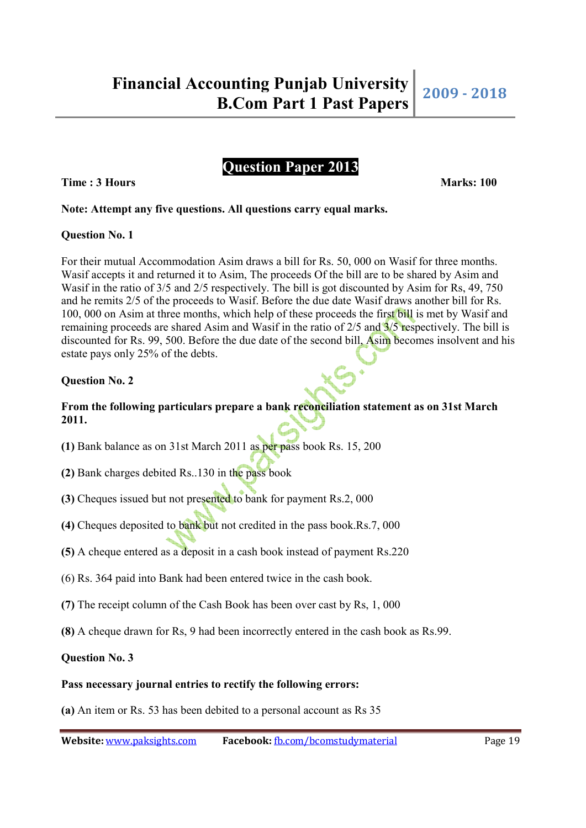# **Question Paper 2013**

**Time : 3 Hours Marks: 100 Marks: 100** 

# **Note: Attempt any five questions. All questions carry equal marks.**

### **Question No. 1**

For their mutual Accommodation Asim draws a bill for Rs. 50, 000 on Wasif for three months. Wasif accepts it and returned it to Asim, The proceeds Of the bill are to be shared by Asim and Wasif in the ratio of 3/5 and 2/5 respectively. The bill is got discounted by Asim for Rs, 49, 750 and he remits 2/5 of the proceeds to Wasif. Before the due date Wasif draws another bill for Rs. 100, 000 on Asim at three months, which help of these proceeds the first bill is met by Wasif and remaining proceeds are shared Asim and Wasif in the ratio of 2/5 and 3/5 respectively. The bill is discounted for Rs. 99, 500. Before the due date of the second bill, Asim becomes insolvent and his estate pays only 25% of the debts.

# **Question No. 2**

# **From the following particulars prepare a bank reconciliation statement as on 31st March 2011.**

- **(1)** Bank balance as on 31st March 2011 as per pass book Rs. 15, 200
- **(2)** Bank charges debited Rs..130 in the pass book
- **(3)** Cheques issued but not presented to bank for payment Rs.2, 000
- **(4)** Cheques deposited to bank but not credited in the pass book.Rs.7, 000
- **(5)** A cheque entered as a deposit in a cash book instead of payment Rs.220
- (6) Rs. 364 paid into Bank had been entered twice in the cash book.
- **(7)** The receipt column of the Cash Book has been over cast by Rs, 1, 000
- **(8)** A cheque drawn for Rs, 9 had been incorrectly entered in the cash book as Rs.99.

**Question No. 3** 

### **Pass necessary journal entries to rectify the following errors:**

**(a)** An item or Rs. 53 has been debited to a personal account as Rs 35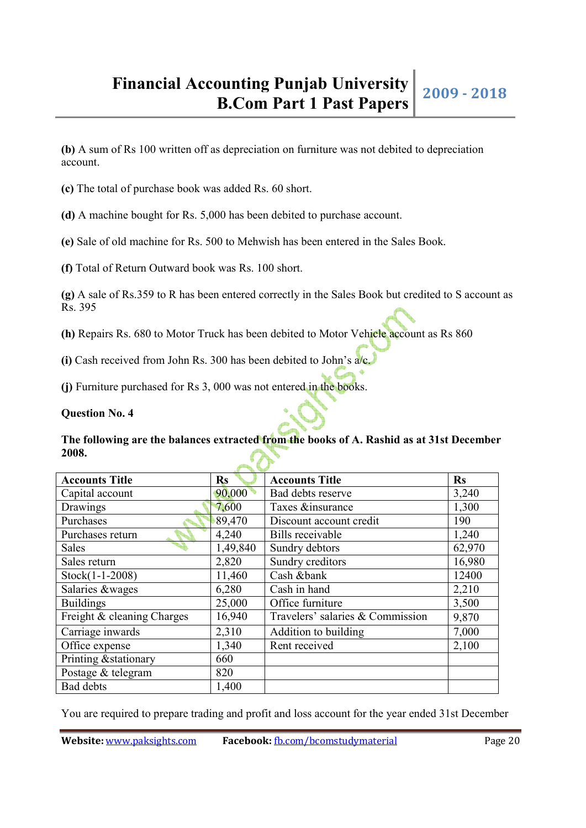**(b)** A sum of Rs 100 written off as depreciation on furniture was not debited to depreciation account.

**(c)** The total of purchase book was added Rs. 60 short.

**(d)** A machine bought for Rs. 5,000 has been debited to purchase account.

**(e)** Sale of old machine for Rs. 500 to Mehwish has been entered in the Sales Book.

**(f)** Total of Return Outward book was Rs. 100 short.

**(g)** A sale of Rs.359 to R has been entered correctly in the Sales Book but credited to S account as Rs. 395

**(h)** Repairs Rs. 680 to Motor Truck has been debited to Motor Vehicle account as Rs 860

**(i)** Cash received from John Rs. 300 has been debited to John's a/c.

**(j)** Furniture purchased for Rs 3, 000 was not entered in the books.

**Question No. 4** 

**The following are the balances extracted from the books of A. Rashid as at 31st December 2008.**

| <b>Accounts Title</b>      | $\mathbf{Rs}$ | <b>Accounts Title</b>            | $\mathbf{Rs}$ |  |  |  |
|----------------------------|---------------|----------------------------------|---------------|--|--|--|
| Capital account            | 90,000        | Bad debts reserve                | 3,240         |  |  |  |
| Drawings                   | 7,600         | Taxes &insurance                 | 1,300         |  |  |  |
| Purchases                  | 89,470        | Discount account credit          | 190           |  |  |  |
| Purchases return           | 4,240         | Bills receivable                 | 1,240         |  |  |  |
| Sales                      | 1,49,840      | Sundry debtors                   | 62,970        |  |  |  |
| Sales return               | 2,820         | Sundry creditors                 | 16,980        |  |  |  |
| Stock(1-1-2008)            | 11,460        | Cash &bank                       | 12400         |  |  |  |
| Salaries &wages            | 6,280         | Cash in hand                     | 2,210         |  |  |  |
| <b>Buildings</b>           | 25,000        | Office furniture                 | 3,500         |  |  |  |
| Freight & cleaning Charges | 16,940        | Travelers' salaries & Commission | 9,870         |  |  |  |
| Carriage inwards           | 2,310         | Addition to building             | 7,000         |  |  |  |
| Office expense             | 1,340         | Rent received                    | 2,100         |  |  |  |
| Printing & stationary      | 660           |                                  |               |  |  |  |
| Postage & telegram         | 820           |                                  |               |  |  |  |
| <b>Bad</b> debts           | 1,400         |                                  |               |  |  |  |

You are required to prepare trading and profit and loss account for the year ended 31st December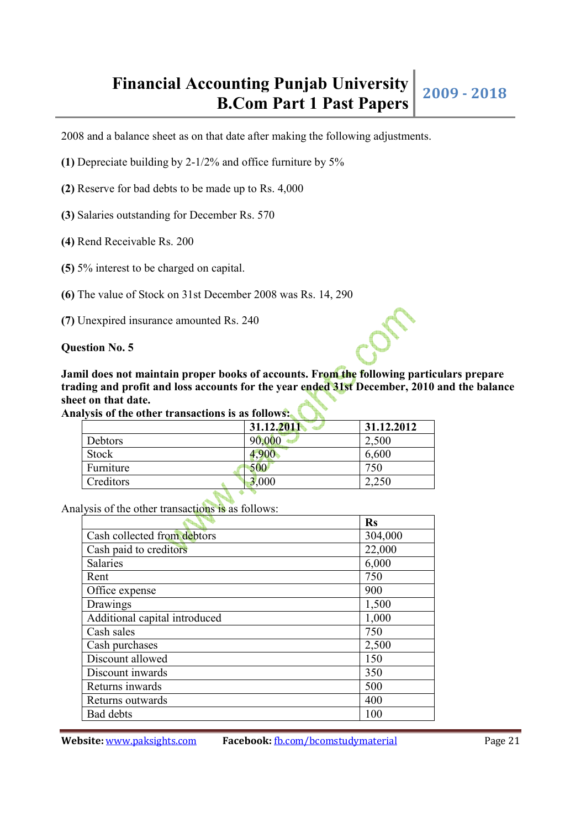# **Financial Accounting Punjab University bunting Punjab University** 2009 - 2018<br>**B.Com Part 1 Past Papers**

2008 and a balance sheet as on that date after making the following adjustments.

- **(1)** Depreciate building by 2-1/2% and office furniture by 5%
- **(2)** Reserve for bad debts to be made up to Rs. 4,000
- **(3)** Salaries outstanding for December Rs. 570
- **(4)** Rend Receivable Rs. 200
- **(5)** 5% interest to be charged on capital.
- **(6)** The value of Stock on 31st December 2008 was Rs. 14, 290
- **(7)** Unexpired insurance amounted Rs. 240

**Question No. 5**

**Jamil does not maintain proper books of accounts. From the following particulars prepare trading and profit and loss accounts for the year ended 31st December, 2010 and the balance sheet on that date.**

| Analysis of the other transactions is as follows: |  |
|---------------------------------------------------|--|
|---------------------------------------------------|--|

|           | 31.12.2011 | 31.12.2012 |
|-----------|------------|------------|
| Debtors   | 90,000     | 2,500      |
| Stock     | 4,900      | 6,600      |
| Furniture | 500        | 750        |
| Creditors | 3,000      | 2,250      |
|           |            |            |

Analysis of the other transactions is as follows:

|                               | <b>Rs</b> |
|-------------------------------|-----------|
| Cash collected from debtors   | 304,000   |
| Cash paid to creditors        | 22,000    |
| Salaries                      | 6,000     |
| Rent                          | 750       |
| Office expense                | 900       |
| Drawings                      | 1,500     |
| Additional capital introduced | 1,000     |
| Cash sales                    | 750       |
| Cash purchases                | 2,500     |
| Discount allowed              | 150       |
| Discount inwards              | 350       |
| Returns inwards               | 500       |
| Returns outwards              | 400       |
| <b>Bad debts</b>              | 100       |

**Website:** www.paksights.com **Facebook:** fb.com/bcomstudymaterial Page 21